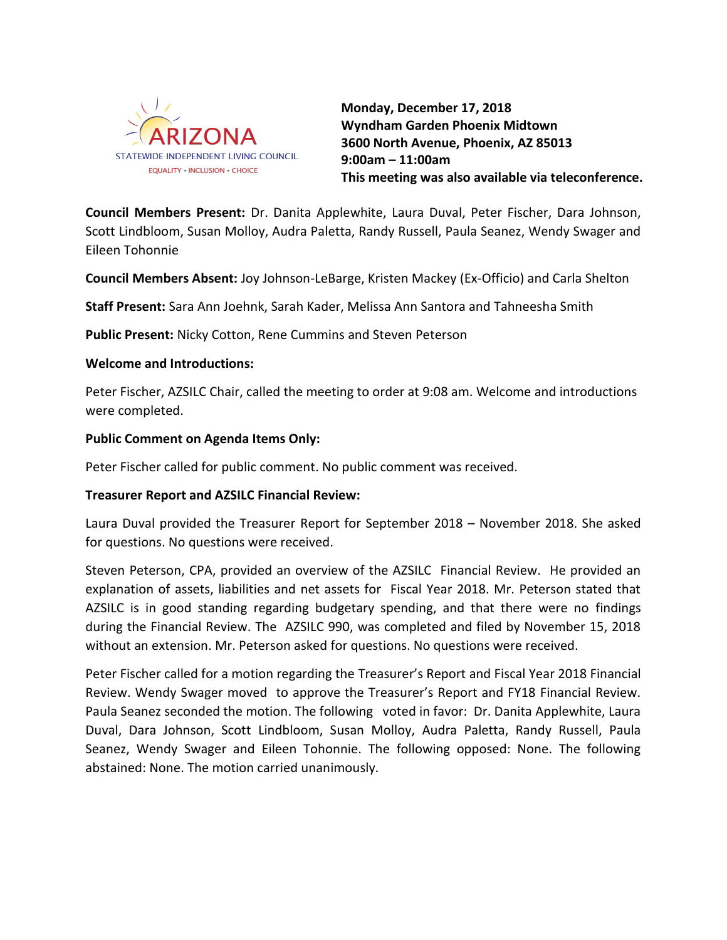

**Monday, December 17, 2018 Wyndham Garden Phoenix Midtown 3600 North Avenue, Phoenix, AZ 85013 9:00am – 11:00am This meeting was also available via teleconference.**

**Council Members Present:** Dr. Danita Applewhite, Laura Duval, Peter Fischer, Dara Johnson, Scott Lindbloom, Susan Molloy, Audra Paletta, Randy Russell, Paula Seanez, Wendy Swager and Eileen Tohonnie

**Council Members Absent:** Joy Johnson-LeBarge, Kristen Mackey (Ex-Officio) and Carla Shelton

**Staff Present:** Sara Ann Joehnk, Sarah Kader, Melissa Ann Santora and Tahneesha Smith

**Public Present:** Nicky Cotton, Rene Cummins and Steven Peterson

## **Welcome and Introductions:**

Peter Fischer, AZSILC Chair, called the meeting to order at 9:08 am. Welcome and introductions were completed.

## **Public Comment on Agenda Items Only:**

Peter Fischer called for public comment. No public comment was received.

# **Treasurer Report and AZSILC Financial Review:**

Laura Duval provided the Treasurer Report for September 2018 – November 2018. She asked for questions. No questions were received.

Steven Peterson, CPA, provided an overview of the AZSILC Financial Review. He provided an explanation of assets, liabilities and net assets for Fiscal Year 2018. Mr. Peterson stated that AZSILC is in good standing regarding budgetary spending, and that there were no findings during the Financial Review. The AZSILC 990, was completed and filed by November 15, 2018 without an extension. Mr. Peterson asked for questions. No questions were received.

Peter Fischer called for a motion regarding the Treasurer's Report and Fiscal Year 2018 Financial Review. Wendy Swager moved to approve the Treasurer's Report and FY18 Financial Review. Paula Seanez seconded the motion. The following voted in favor: Dr. Danita Applewhite, Laura Duval, Dara Johnson, Scott Lindbloom, Susan Molloy, Audra Paletta, Randy Russell, Paula Seanez, Wendy Swager and Eileen Tohonnie. The following opposed: None. The following abstained: None. The motion carried unanimously.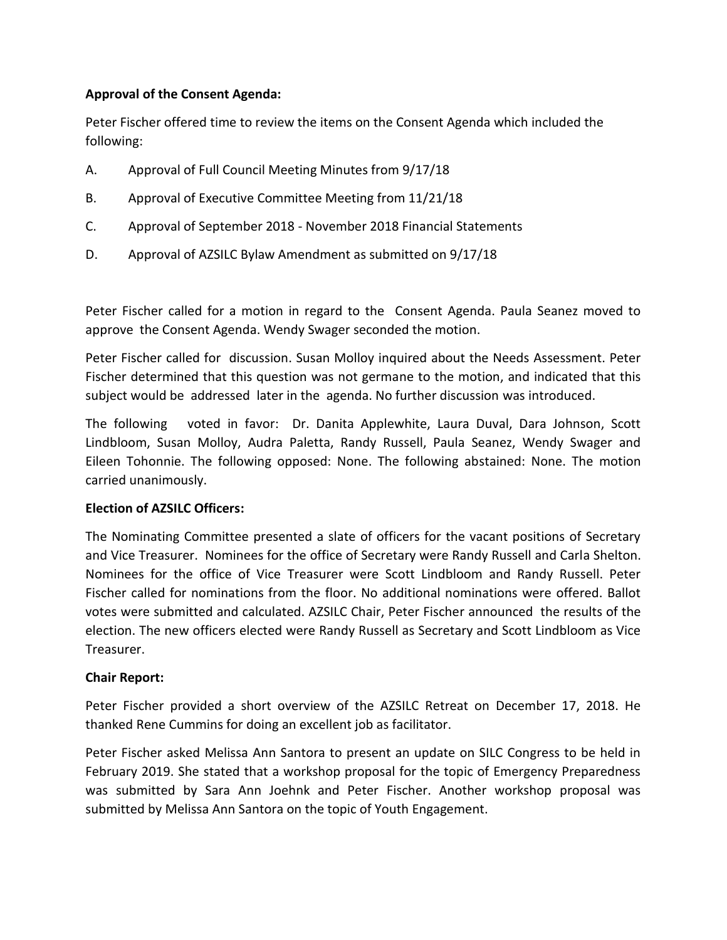# **Approval of the Consent Agenda:**

Peter Fischer offered time to review the items on the Consent Agenda which included the following:

- A. Approval of Full Council Meeting Minutes from 9/17/18
- B. Approval of Executive Committee Meeting from 11/21/18
- C. Approval of September 2018 November 2018 Financial Statements
- D. Approval of AZSILC Bylaw Amendment as submitted on 9/17/18

Peter Fischer called for a motion in regard to the Consent Agenda. Paula Seanez moved to approve the Consent Agenda. Wendy Swager seconded the motion.

Peter Fischer called for discussion. Susan Molloy inquired about the Needs Assessment. Peter Fischer determined that this question was not germane to the motion, and indicated that this subject would be addressed later in the agenda. No further discussion was introduced.

The following voted in favor: Dr. Danita Applewhite, Laura Duval, Dara Johnson, Scott Lindbloom, Susan Molloy, Audra Paletta, Randy Russell, Paula Seanez, Wendy Swager and Eileen Tohonnie. The following opposed: None. The following abstained: None. The motion carried unanimously.

# **Election of AZSILC Officers:**

The Nominating Committee presented a slate of officers for the vacant positions of Secretary and Vice Treasurer. Nominees for the office of Secretary were Randy Russell and Carla Shelton. Nominees for the office of Vice Treasurer were Scott Lindbloom and Randy Russell. Peter Fischer called for nominations from the floor. No additional nominations were offered. Ballot votes were submitted and calculated. AZSILC Chair, Peter Fischer announced the results of the election. The new officers elected were Randy Russell as Secretary and Scott Lindbloom as Vice Treasurer.

# **Chair Report:**

Peter Fischer provided a short overview of the AZSILC Retreat on December 17, 2018. He thanked Rene Cummins for doing an excellent job as facilitator.

Peter Fischer asked Melissa Ann Santora to present an update on SILC Congress to be held in February 2019. She stated that a workshop proposal for the topic of Emergency Preparedness was submitted by Sara Ann Joehnk and Peter Fischer. Another workshop proposal was submitted by Melissa Ann Santora on the topic of Youth Engagement.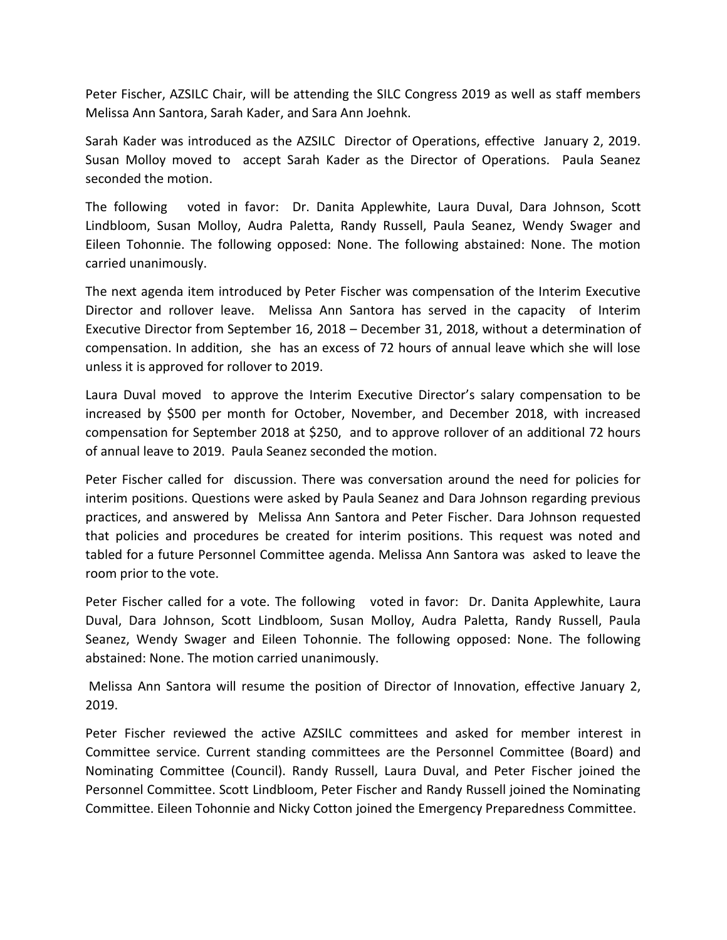Peter Fischer, AZSILC Chair, will be attending the SILC Congress 2019 as well as staff members Melissa Ann Santora, Sarah Kader, and Sara Ann Joehnk.

Sarah Kader was introduced as the AZSILC Director of Operations, effective January 2, 2019. Susan Molloy moved to accept Sarah Kader as the Director of Operations. Paula Seanez seconded the motion.

The following voted in favor: Dr. Danita Applewhite, Laura Duval, Dara Johnson, Scott Lindbloom, Susan Molloy, Audra Paletta, Randy Russell, Paula Seanez, Wendy Swager and Eileen Tohonnie. The following opposed: None. The following abstained: None. The motion carried unanimously.

The next agenda item introduced by Peter Fischer was compensation of the Interim Executive Director and rollover leave. Melissa Ann Santora has served in the capacity of Interim Executive Director from September 16, 2018 – December 31, 2018, without a determination of compensation. In addition, she has an excess of 72 hours of annual leave which she will lose unless it is approved for rollover to 2019.

Laura Duval moved to approve the Interim Executive Director's salary compensation to be increased by \$500 per month for October, November, and December 2018, with increased compensation for September 2018 at \$250, and to approve rollover of an additional 72 hours of annual leave to 2019. Paula Seanez seconded the motion.

Peter Fischer called for discussion. There was conversation around the need for policies for interim positions. Questions were asked by Paula Seanez and Dara Johnson regarding previous practices, and answered by Melissa Ann Santora and Peter Fischer. Dara Johnson requested that policies and procedures be created for interim positions. This request was noted and tabled for a future Personnel Committee agenda. Melissa Ann Santora was asked to leave the room prior to the vote.

Peter Fischer called for a vote. The following voted in favor: Dr. Danita Applewhite, Laura Duval, Dara Johnson, Scott Lindbloom, Susan Molloy, Audra Paletta, Randy Russell, Paula Seanez, Wendy Swager and Eileen Tohonnie. The following opposed: None. The following abstained: None. The motion carried unanimously.

Melissa Ann Santora will resume the position of Director of Innovation, effective January 2, 2019.

Peter Fischer reviewed the active AZSILC committees and asked for member interest in Committee service. Current standing committees are the Personnel Committee (Board) and Nominating Committee (Council). Randy Russell, Laura Duval, and Peter Fischer joined the Personnel Committee. Scott Lindbloom, Peter Fischer and Randy Russell joined the Nominating Committee. Eileen Tohonnie and Nicky Cotton joined the Emergency Preparedness Committee.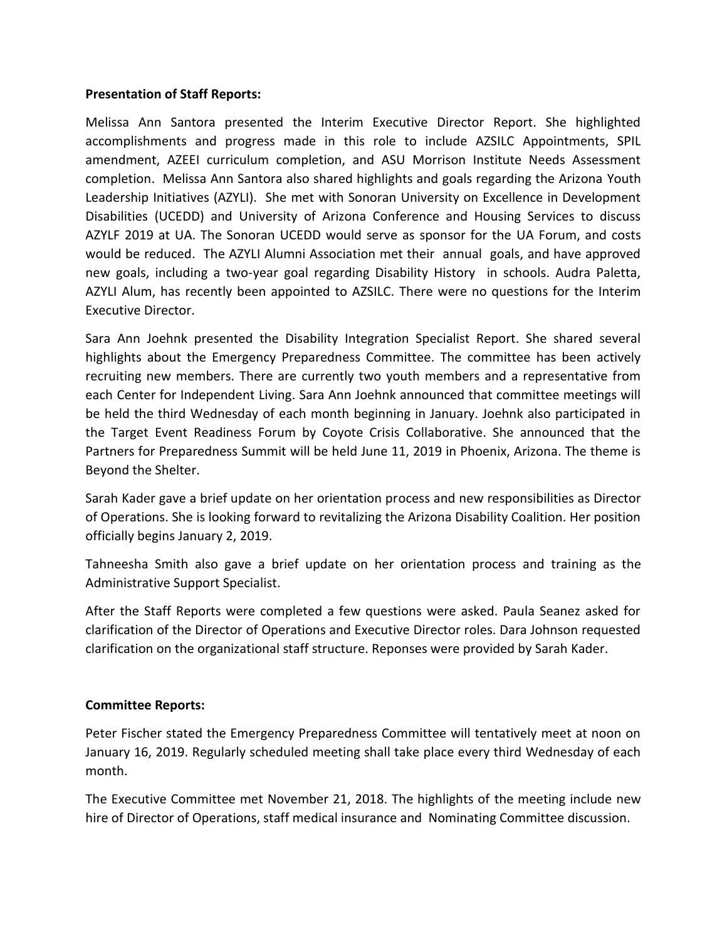## **Presentation of Staff Reports:**

Melissa Ann Santora presented the Interim Executive Director Report. She highlighted accomplishments and progress made in this role to include AZSILC Appointments, SPIL amendment, AZEEI curriculum completion, and ASU Morrison Institute Needs Assessment completion. Melissa Ann Santora also shared highlights and goals regarding the Arizona Youth Leadership Initiatives (AZYLI). She met with Sonoran University on Excellence in Development Disabilities (UCEDD) and University of Arizona Conference and Housing Services to discuss AZYLF 2019 at UA. The Sonoran UCEDD would serve as sponsor for the UA Forum, and costs would be reduced. The AZYLI Alumni Association met their annual goals, and have approved new goals, including a two-year goal regarding Disability History in schools. Audra Paletta, AZYLI Alum, has recently been appointed to AZSILC. There were no questions for the Interim Executive Director.

Sara Ann Joehnk presented the Disability Integration Specialist Report. She shared several highlights about the Emergency Preparedness Committee. The committee has been actively recruiting new members. There are currently two youth members and a representative from each Center for Independent Living. Sara Ann Joehnk announced that committee meetings will be held the third Wednesday of each month beginning in January. Joehnk also participated in the Target Event Readiness Forum by Coyote Crisis Collaborative. She announced that the Partners for Preparedness Summit will be held June 11, 2019 in Phoenix, Arizona. The theme is Beyond the Shelter.

Sarah Kader gave a brief update on her orientation process and new responsibilities as Director of Operations. She is looking forward to revitalizing the Arizona Disability Coalition. Her position officially begins January 2, 2019.

Tahneesha Smith also gave a brief update on her orientation process and training as the Administrative Support Specialist.

After the Staff Reports were completed a few questions were asked. Paula Seanez asked for clarification of the Director of Operations and Executive Director roles. Dara Johnson requested clarification on the organizational staff structure. Reponses were provided by Sarah Kader.

# **Committee Reports:**

Peter Fischer stated the Emergency Preparedness Committee will tentatively meet at noon on January 16, 2019. Regularly scheduled meeting shall take place every third Wednesday of each month.

The Executive Committee met November 21, 2018. The highlights of the meeting include new hire of Director of Operations, staff medical insurance and Nominating Committee discussion.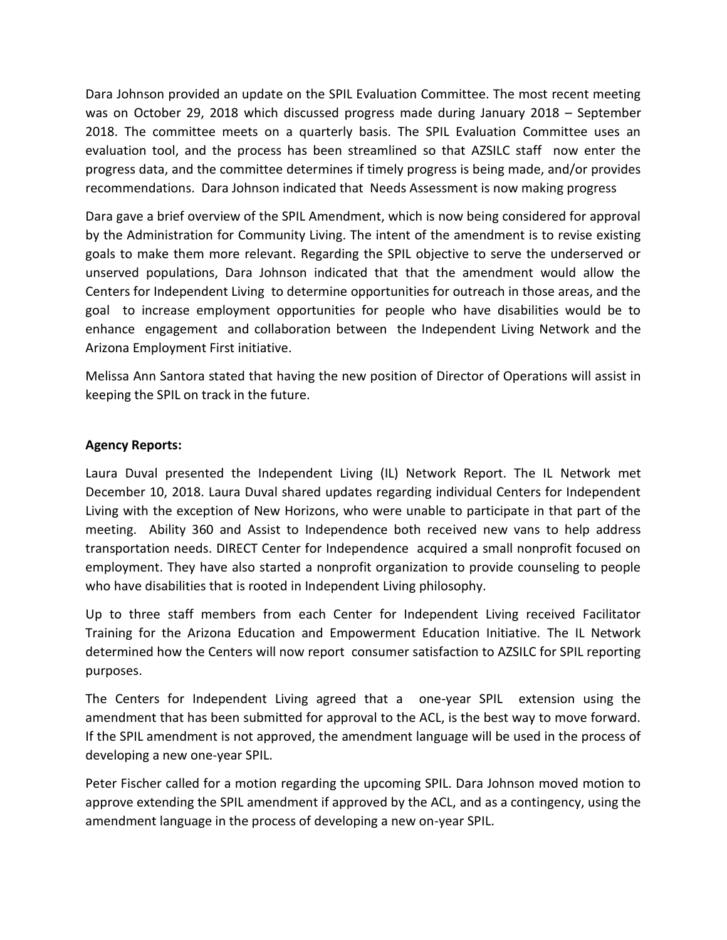Dara Johnson provided an update on the SPIL Evaluation Committee. The most recent meeting was on October 29, 2018 which discussed progress made during January 2018 – September 2018. The committee meets on a quarterly basis. The SPIL Evaluation Committee uses an evaluation tool, and the process has been streamlined so that AZSILC staff now enter the progress data, and the committee determines if timely progress is being made, and/or provides recommendations. Dara Johnson indicated that Needs Assessment is now making progress

Dara gave a brief overview of the SPIL Amendment, which is now being considered for approval by the Administration for Community Living. The intent of the amendment is to revise existing goals to make them more relevant. Regarding the SPIL objective to serve the underserved or unserved populations, Dara Johnson indicated that that the amendment would allow the Centers for Independent Living to determine opportunities for outreach in those areas, and the goal to increase employment opportunities for people who have disabilities would be to enhance engagement and collaboration between the Independent Living Network and the Arizona Employment First initiative.

Melissa Ann Santora stated that having the new position of Director of Operations will assist in keeping the SPIL on track in the future.

# **Agency Reports:**

Laura Duval presented the Independent Living (IL) Network Report. The IL Network met December 10, 2018. Laura Duval shared updates regarding individual Centers for Independent Living with the exception of New Horizons, who were unable to participate in that part of the meeting. Ability 360 and Assist to Independence both received new vans to help address transportation needs. DIRECT Center for Independence acquired a small nonprofit focused on employment. They have also started a nonprofit organization to provide counseling to people who have disabilities that is rooted in Independent Living philosophy.

Up to three staff members from each Center for Independent Living received Facilitator Training for the Arizona Education and Empowerment Education Initiative. The IL Network determined how the Centers will now report consumer satisfaction to AZSILC for SPIL reporting purposes.

The Centers for Independent Living agreed that a one-year SPIL extension using the amendment that has been submitted for approval to the ACL, is the best way to move forward. If the SPIL amendment is not approved, the amendment language will be used in the process of developing a new one-year SPIL.

Peter Fischer called for a motion regarding the upcoming SPIL. Dara Johnson moved motion to approve extending the SPIL amendment if approved by the ACL, and as a contingency, using the amendment language in the process of developing a new on-year SPIL.